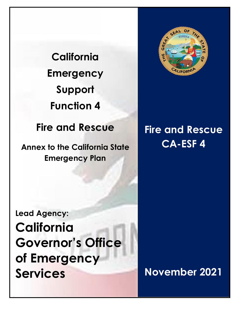**California Emergency Support Function 4**

**Fire and Rescue**

**Annex to the California State Emergency Plan**

**Lead Agency:**

**California Governor's Office of Emergency Services**

California Emergency Support Function 13 – Law Enforcement November 2021



# **Fire and Rescue CA-ESF 4**

## **November 2021**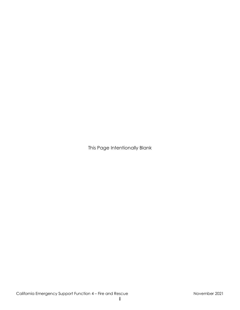This Page Intentionally Blank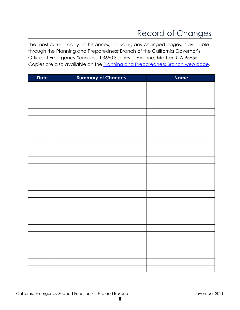The most current copy of this annex, including any changed pages, is available through the Planning and Preparedness Branch of the California Governor's Office of Emergency Services at 3650 Schriever Avenue, Mather, CA 95655. Copies are also available on the **Planning and Preparedness Branch web page**.

| Date | <b>Summary of Changes</b> | Name |
|------|---------------------------|------|
|      |                           |      |
|      |                           |      |
|      |                           |      |
|      |                           |      |
|      |                           |      |
|      |                           |      |
|      |                           |      |
|      |                           |      |
|      |                           |      |
|      |                           |      |
|      |                           |      |
|      |                           |      |
|      |                           |      |
|      |                           |      |
|      |                           |      |
|      |                           |      |
|      |                           |      |
|      |                           |      |
|      |                           |      |
|      |                           |      |
|      |                           |      |
|      |                           |      |
|      |                           |      |
|      |                           |      |
|      |                           |      |
|      |                           |      |
|      |                           |      |
|      |                           |      |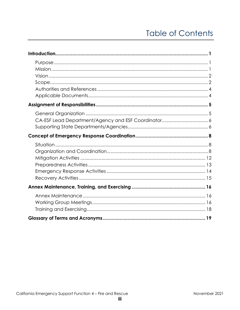## **Table of Contents**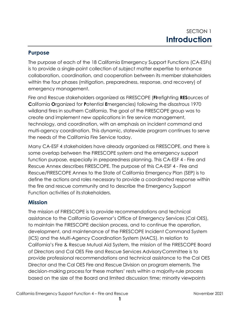## <span id="page-4-1"></span><span id="page-4-0"></span>**Purpose**

The purpose of each of the 18 California Emergency Support Functions (CA-ESFs) is to provide a single-point collection of subject matter expertise to enhance collaboration, coordination, and cooperation between its member stakeholders within the four phases (mitigation, preparedness, response, and recovery) of emergency management.

Fire and Rescue stakeholders organized as FIRESCOPE (**FI**refighting **RES**ources of **C**alifornia **O**rganized for **P**otential **E**mergencies) following the disastrous 1970 wildland fires in southern California. The goal of the FIRESCOPE group was to create and implement new applications in fire service management, technology, and coordination, with an emphasis on incident command and multi-agency coordination. This dynamic, statewide program continues to serve the needs of the California Fire Service today.

Many CA-ESF 4 stakeholders have already organized as FIRESCOPE, and there is some overlap between the FIRESCOPE system and the emergency support function purpose, especially in preparedness planning. This CA-ESF 4 - Fire and Rescue Annex describes FIRESCOPE. The purpose of this CA-ESF 4 - Fire and Rescue/FIRESCOPE Annex to the State of California Emergency Plan (SEP) is to define the actions and roles necessary to provide a coordinated response within the fire and rescue community and to describe the Emergency Support Function activities of itsstakeholders.

## <span id="page-4-2"></span>**Mission**

The mission of FIRESCOPE is to provide recommendations and technical assistance to the California Governor's Office of Emergency Services (Cal OES), to maintain the FIRESCOPE decision process, and to continue the operation, development, and maintenance of the FIRESCOPE Incident Command System (ICS) and the Multi-Agency Coordination System (MACS). In relation to California's Fire & Rescue Mutual Aid System, the mission of the FIRESCOPE Board of Directors and Cal OES Fire and Rescue Services AdvisoryCommittee is to provide professional recommendations and technical assistance to the Cal OES Director and the Cal OES Fire and Rescue Division on program elements. The decision-making process for these matters' rests within a majority-rule process based on the size of the Board and limited discussion time; minority viewpoints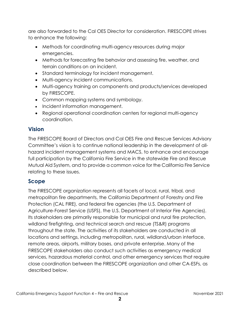are also forwarded to the Cal OES Director for consideration. FIRESCOPE strives to enhance the following:

- Methods for coordinating multi-agency resources during major emergencies.
- Methods for forecasting fire behavior and assessing fire, weather, and terrain conditions on an incident.
- Standard terminology for incident management.
- Multi-agency incident communications.
- Multi-agency training on components and products/services developed by FIRESCOPE.
- Common mapping systems and symbology.
- Incident information management.
- Regional operational coordination centers for regional multi-agency coordination.

#### <span id="page-5-0"></span>**Vision**

The FIRESCOPE Board of Directors and Cal OES Fire and Rescue Services Advisory Committee's vision is to continue national leadership in the development of allhazard incident management systems and MACS, to enhance and encourage full participation by the California Fire Service in the statewide Fire and Rescue Mutual Aid System, and to provide a common voice for the California Fire Service relating to these issues.

#### <span id="page-5-1"></span>**Scope**

The FIRESCOPE organization represents all facets of local, rural, tribal, and metropolitan fire departments, the California Department of Forestry and Fire Protection (CAL FIRE), and federal fire agencies (the U.S. Department of Agriculture-Forest Service (USFS), the U.S. Department of Interior Fire Agencies). Its stakeholders are primarily responsible for municipal and rural fire protection, wildland firefighting, and technical search and rescue (TS&R) programs throughout the state. The activities of its stakeholders are conducted in all locations and settings, including metropolitan, rural, wildland/urban interface, remote areas, airports, military bases, and private enterprise. Many of the FIRESCOPE stakeholders also conduct such activities as emergency medical services, hazardous material control, and other emergency services that require close coordination between the FIRESCOPE organization and other CA-ESFs, as described below.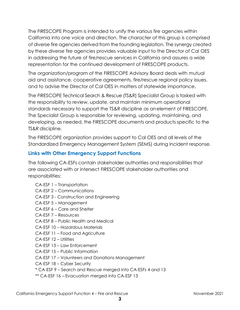The FIRESCOPE Program is intended to unify the various fire agencies within California into one voice and direction. The character of this group is comprised of diverse fire agencies derived from the founding legislation. The synergy created by these diverse fire agencies provides valuable input to the Director of Cal OES in addressing the future of fire/rescue services in California and assures a wide representation for the continued development of FIRESCOPE products.

The organization/program of the FIRESCOPE Advisory Board deals with mutual aid and assistance, cooperative agreements, fire/rescue regional policy issues, and to advise the Director of Cal OES in matters of statewide importance.

The FIRESCOPE Technical Search & Rescue (TS&R) Specialist Group is tasked with the responsibility to review, update, and maintain minimum operational standards necessary to support the TS&R discipline as anelement of FIRESCOPE. The Specialist Group is responsible for reviewing, updating, maintaining, and developing, as needed, the FIRESCOPE documents and products specific to the TS&R discipline.

The FIRESCOPE organization provides support to Cal OES and all levels of the Standardized Emergency Management System (SEMS) during incident response.

#### **Links with Other Emergency Support Functions**

The following CA-ESFs contain stakeholder authorities and responsibilities that are associated with or intersect FIRESCOPE stakeholder authorities and responsibilities:

- CA-ESF 1 Transportation
- CA-ESF 2 Communications
- CA-ESF 3 Construction and Engineering
- CA-ESF 5 Management
- CA-ESF 6 Care and Shelter
- CA-ESF 7 Resources
- CA-ESF 8 Public Health and Medical
- CA-ESF 10 Hazardous Materials
- CA-ESF 11 Food and Agriculture
- CA-ESF 12 Utilities
- CA-ESF 13 Law Enforcement
- CA-ESF 15 Public Information
- CA-ESF 17 Volunteers and Donations Management
- CA-ESF 18 Cyber Security
- \* CA-ESF 9 Search and Rescue merged into CA-ESFs 4 and 13
- \*\* CA-ESF 16 Evacuation merged into CA-ESF 13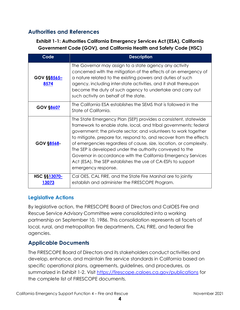## <span id="page-7-0"></span>**Authorities and References**

**Exhibit 1-1: Authorities California Emergency Services Act (ESA), California Government Code (GOV), and California Health and Safety Code (HSC)** 

| Code                  | <b>Description</b>                                                                                                                                                                                                                                                                                                                                                                                                                                                                                                                                                      |  |
|-----------------------|-------------------------------------------------------------------------------------------------------------------------------------------------------------------------------------------------------------------------------------------------------------------------------------------------------------------------------------------------------------------------------------------------------------------------------------------------------------------------------------------------------------------------------------------------------------------------|--|
| GOV §§8565-<br>8574   | The Governor may assign to a state agency any activity<br>concerned with the mitigation of the effects of an emergency of<br>a nature related to the existing powers and duties of such<br>agency, including inter-state activities, and it shall thereupon<br>become the duty of such agency to undertake and carry out<br>such activity on behalf of the state.                                                                                                                                                                                                       |  |
| <b>GOV §8607</b>      | The California ESA establishes the SEMS that is followed in the<br>State of California.                                                                                                                                                                                                                                                                                                                                                                                                                                                                                 |  |
| GOV §8568-            | The State Emergency Plan (SEP) provides a consistent, statewide<br>framework to enable state, local, and tribal governments; federal<br>government; the private sector; and volunteers to work together<br>to mitigate, prepare for, respond to, and recover from the effects<br>of emergencies regardless of cause, size, location, or complexity.<br>The SEP is developed under the authority conveyed to the<br>Governor in accordance with the California Emergency Services<br>Act (ESA). The SEP establishes the use of CA-ESFs to support<br>emergency response. |  |
| HSC §§13070-<br>13073 | Cal OES, CAL FIRE, and the State Fire Marshal are to jointly<br>establish and administer the FIRESCOPE Program.                                                                                                                                                                                                                                                                                                                                                                                                                                                         |  |

#### **Legislative Actions**

By legislative action, the FIRESCOPE Board of Directors and CalOES Fire and Rescue Service Advisory Committee were consolidated into a working partnership on September 10, 1986. This consolidation represents all facets of local, rural, and metropolitan fire departments, CAL FIRE, and federal fire agencies.

#### <span id="page-7-1"></span>**Applicable Documents**

The FIRESCOPE Board of Directors and its stakeholders conduct activities and develop, enhance, and maintain fire service standards in California based on specific operational plans, agreements, guidelines, and procedures, as summarized in Exhibit 1-2. Visit<https://firescope.caloes.ca.gov/publications> for the complete list of FIRESCOPE documents.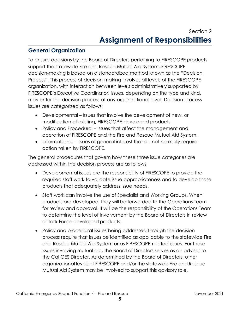#### <span id="page-8-1"></span><span id="page-8-0"></span>**General Organization**

To ensure decisions by the Board of Directors pertaining to FIRESCOPE products support the statewide Fire and Rescue Mutual Aid System, FIRESCOPE decision-making is based on a standardized method known as the "Decision Process". This process of decision-making involves all levels of the FIRESCOPE organization, with interaction between levels administratively supported by FIRESCOPE's Executive Coordinator. Issues, depending on the type and kind, may enter the decision process at any organizational level. Decision process issues are categorized as follows:

- Developmental Issues that involve the development of new, or modification of existing, FIRESCOPE-developed products.
- Policy and Procedural Issues that affect the management and operation of FIRESCOPE and the Fire and Rescue Mutual Aid System.
- Informational Issues of general interest that do not normally require action taken by FIRESCOPE.

The general procedures that govern how these three issue categories are addressed within the decision process are as follows:

- Developmental issues are the responsibility of FIRESCOPE to provide the required staff work to validate issue appropriateness and to develop those products that adequately address issue needs.
- Staff work can involve the use of Specialist and Working Groups. When products are developed, they will be forwarded to the Operations Team for review and approval. It will be the responsibility of the Operations Team to determine the level of involvement by the Board of Directors in review of Task Force-developed products.
- Policy and procedural issues being addressed through the decision process require that issues be identified as applicable to the statewide Fire and Rescue Mutual Aid System or as FIRESCOPE-related issues. For those issues involving mutual aid, the Board of Directors serves as an advisor to the Cal OES Director. As determined by the Board of Directors, other organizational levels of FIRESCOPE and/or the statewide Fire and Rescue Mutual Aid System may be involved to support this advisory role.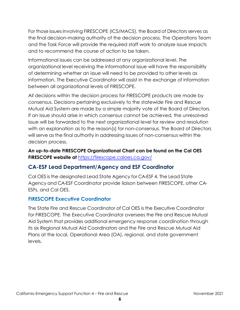For those issues involving FIRESCOPE (ICS/MACS), the Board of Directors serves as the final decision-making authority of the decision process. The Operations Team and the Task Force will provide the required staff work to analyze issue impacts and to recommend the course of action to be taken.

Informational issues can be addressed at any organizational level. The organizational level receiving the informational issue will have the responsibility of determining whether an issue will need to be provided to other levels as information. The Executive Coordinator will assist in the exchange of information between all organizational levels of FIRESCOPE.

All decisions within the decision process for FIRESCOPE products are made by consensus. Decisions pertaining exclusively to the statewide Fire and Rescue Mutual Aid System are made by a simple majority vote of the Board of Directors. If an issue should arise in which consensus cannot be achieved, the unresolved issue will be forwarded to the next organizational level for review and resolution with an explanation as to the reason(s) for non-consensus. The Board of Directors will serve as the final authority in addressing issues of non-consensus within the decision process.

**An up-to-date FIRESCOPE Organizational Chart can be found on the Cal OES FIRESCOPE website at** <https://firescope.caloes.ca.gov/>

#### <span id="page-9-0"></span>**CA-ESF Lead Department/Agency and ESF Coordinator**

Cal OES is the designated Lead State Agency for CA-ESF 4. The Lead State Agency and CA-ESF Coordinator provide liaison between FIRESCOPE, other CA-ESFs, and Cal OES.

#### **FIRESCOPE Executive Coordinator**

<span id="page-9-1"></span>The State Fire and Rescue Coordinator of Cal OES is the Executive Coordinator for FIRESCOPE. The Executive Coordinator oversees the Fire and Rescue Mutual Aid System that provides additional emergency response coordination through its six Regional Mutual Aid Coordinators and the Fire and Rescue Mutual Aid Plans at the local, Operational Area (OA), regional, and state government levels.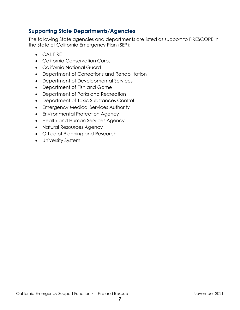## **Supporting State Departments/Agencies**

The following State agencies and departments are listed as support to FIRESCOPE in the State of California Emergency Plan (SEP):

- CAL FIRE
- California Conservation Corps
- California National Guard
- Department of Corrections and Rehabilitation
- Department of Developmental Services
- Department of Fish and Game
- Department of Parks and Recreation
- Department of Toxic Substances Control
- Emergency Medical Services Authority
- Environmental Protection Agency
- Health and Human Services Agency
- Natural Resources Agency
- Office of Planning and Research
- University System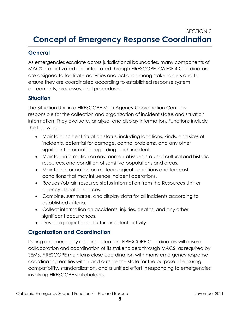## <span id="page-11-0"></span>SECTION 3 **Concept of Emergency Response Coordination**

## **General**

As emergencies escalate across jurisdictional boundaries, many components of MACS are activated and integrated through FIRESCOPE. CA-ESF 4 Coordinators are assigned to facilitate activities and actions among stakeholders and to ensure they are coordinated according to established response system agreements, processes, and procedures.

#### <span id="page-11-1"></span>**Situation**

The Situation Unit in a FIRESCOPE Multi-Agency Coordination Center is responsible for the collection and organization of incident status and situation information. They evaluate, analyze, and display information. Functions include the following:

- Maintain incident situation status, including locations, kinds, and sizes of incidents, potential for damage, control problems, and any other significant information regarding each incident.
- Maintain information on environmental issues, status of cultural and historic resources, and condition of sensitive populations and areas.
- Maintain information on meteorological conditions and forecast conditions that may influence incident operations.
- Request/obtain resource status information from the Resources Unit or agency dispatch sources.
- Combine, summarize, and display data for all incidents according to established criteria.
- Collect information on accidents, injuries, deaths, and any other significant occurrences.
- Develop projections of future incident activity.

## <span id="page-11-2"></span>**Organization and Coordination**

During an emergency response situation, FIRESCOPE Coordinators will ensure collaboration and coordination of its stakeholders through MACS, as required by SEMS. FIRESCOPE maintains close coordination with many emergency response coordinating entities within and outside the state for the purpose of ensuring compatibility, standardization, and a unified effort inresponding to emergencies involving FIRESCOPE stakeholders.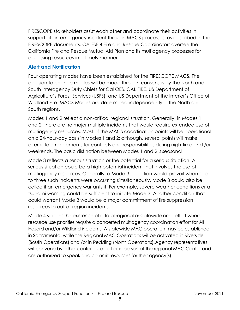FIRESCOPE stakeholders assist each other and coordinate their activities in support of an emergency incident through MACS processes, as described in the FIRESCOPE documents. CA-ESF 4 Fire and Rescue Coordinators oversee the California Fire and Rescue Mutual Aid Plan and its multiagency processes for accessing resources in a timely manner.

#### **Alert and Notification**

Four operating modes have been established for the FIRESCOPE MACS. The decision to change modes will be made through consensus by the North and South Interagency Duty Chiefs for Cal OES, CAL FIRE, US Department of Agriculture's Forest Services (USFS), and US Department of the Interior's Office of Wildland Fire. MACS Modes are determined independently in the North and South regions.

Modes 1 and 2 reflect a non-critical regional situation. Generally, in Modes 1 and 2, there are no major multiple incidents that would require extended use of multiagency resources. Most of the MACS coordination points will be operational on a 24-hour-day basis in Modes 1 and 2; although, several points will make alternate arrangements for contacts and responsibilities during nighttime and /or weekends. The basic distinction between Modes 1 and 2 is seasonal.

Mode 3 reflects a serious situation or the potential for a serious situation. A serious situation could be a high potential incident that involves the use of multiagency resources. Generally, a Mode 3 condition would prevail when one to three such incidents were occurring simultaneously. Mode 3 could also be called if an emergency warrants it. For example, severe weather conditions or a tsunami warning could be sufficient to initiate Mode 3. Another condition that could warrant Mode 3 would be a major commitment of fire suppression resources to out-of-region incidents.

Mode 4 signifies the existence of a total regional or statewide area effort where resource use priorities require a concerted multiagency coordination effort for All Hazard and/or Wildland incidents. A statewide MAC operation may be established in Sacramento, while the Regional MAC Operations will be activated in Riverside (South Operations) and /or in Redding (North Operations).Agency representatives will convene by either conference call or in person at the regional MAC Center and are authorized to speak and commit resources for their agency(s).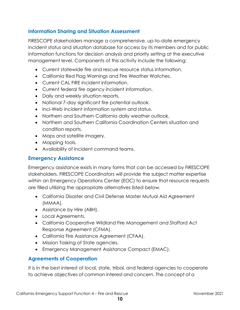#### **Information Sharing and Situation Assessment**

FIRESCOPE stakeholders manage a comprehensive, up-to-date emergency incident status and situation database for access by its members and for public information functions for decision analysis and priority setting at the executive management level. Components of this activity include the following:

- Current statewide fire and rescue resource status information.
- California Red Flag Warnings and Fire Weather Watches.
- Current CAL FIRE incident information.
- Current federal fire agency incident information.
- Daily and weekly situation reports.
- National 7-day significant fire potential outlook.
- Inci-Web incident information system and status.
- Northern and Southern California daily weather outlook.
- Northern and Southern California Coordination Centers situation and condition reports.
- Maps and satellite imagery.
- Mapping tools.
- Availability of incident command teams.

#### **Emergency Assistance**

Emergency assistance exists in many forms that can be accessed by FIRESCOPE stakeholders. FIRESCOPE Coordinators will provide the subject matter expertise within an Emergency Operations Center (EOC) to ensure that resource requests are filled utilizing the appropriate alternatives listed below.

- California Disaster and Civil Defense Master Mutual Aid Agreement (MMAA).
- Assistance by Hire (ABH).
- Local Agreements.
- California Cooperative Wildland Fire Management and Stafford Act Response Agreement (CFMA).
- California Fire Assistance Agreement (CFAA).
- Mission Tasking of State agencies.
- Emergency Management Assistance Compact (EMAC).

#### **Agreements of Cooperation**

It is in the best interest of local, state, tribal, and federal agencies to cooperate to achieve objectives of common interest and concern. The concept of a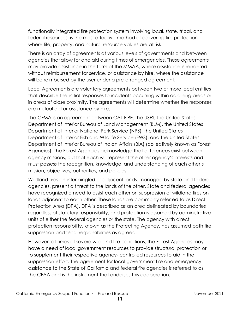functionally integrated fire protection system involving local, state, tribal, and federal resources, is the most effective method of delivering fire protection where life, property, and natural resource values are at risk.

There is an array of agreements at various levels of governments and between agencies thatallow for and aid during times of emergencies. These agreements may provide assistance in the form of the MMAA, where assistance is rendered without reimbursement for service, or assistance by hire, where the assistance will be reimbursed by the user under a pre-arranged agreement.

Local Agreements are voluntary agreements between two or more local entities that describe the initial responses to incidents occurring within adjoining areas or in areas of close proximity. The agreements will determine whether the responses are mutual aid or assistance by hire.

The CFMA is an agreement between CAL FIRE, the USFS, the United States Department of Interior Bureau of Land Management (BLM), the United States Department of Interior National Park Service (NPS), the United States Department of Interior Fish and Wildlife Service (FWS), and the United States Department of Interior Bureau of Indian Affairs (BIA) (collectively known as Forest Agencies). The Forest Agencies acknowledge that differences exist between agency missions, but that each will represent the other agency's interests and must possess the recognition, knowledge, and understanding of each other's mission, objectives, authorities, and policies.

Wildland fires on intermingled or adjacent lands, managed by state and federal agencies, present a threat to the lands of the other. State and federal agencies have recognized a need to assist each other on suppression of wildland fires on lands adjacent to each other. These lands are commonly referred to as Direct Protection Area (DPA). DPA is described as an area delineated by boundaries regardless of statutory responsibility, and protection is assumed by administrative units of either the federal agencies or the state. The agency with direct protection responsibility, known as the Protecting Agency, has assumed both fire suppression and fiscal responsibilities as agreed.

However, at times of severe wildland fire conditions, the Forest Agencies may have a need of local government resources to provide structural protection or to supplement their respective agency- controlled resources to aid in the suppression effort. The agreement for local government fire and emergency assistance to the State of California and federal fire agencies is referred to as the CFAA and is the instrument that endorses this cooperation.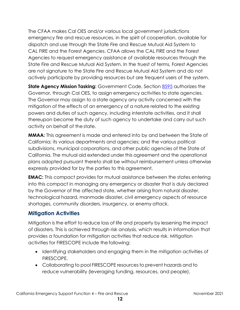The CFAA makes Cal OES and/or various local government jurisdictions emergency fire and rescue resources, in the spirit of cooperation, available for dispatch and use through the State Fire and Rescue Mutual Aid System to CAL FIRE and the Forest Agencies. CFAA allows the CAL FIRE and the Forest Agencies to request emergency assistance of available resources through the State Fire and Rescue Mutual Aid System. In the truest of terms, Forest Agencies are not signature to the State Fire and Rescue Mutual Aid System and do not actively participate by providing resources but are frequent users of the system.

**State Agency Mission Tasking:** Government Code, Section [8595](https://leginfo.legislature.ca.gov/faces/codes_displayText.xhtml?lawCode=GOV&division=1.&title=2.&part=&chapter=7.&article=7.) authorizes the Governor, through Cal OES, to assign emergency activities to state agencies. The Governor may assign to a state agency any activity concerned with the mitigation of the effects of an emergency of a nature related to the existing powers and duties of such agency, including interstate activities, and it shall thereupon become the duty of such agency to undertake and carry out such activity on behalf of the state.

**MMAA:** This agreement is made and entered into by and between the State of California; its various departments and agencies; and the various political subdivisions, municipal corporations, and other public agencies of the State of California. The mutual aid extended under this agreement and the operational plans adopted pursuant thereto shall be without reimbursement unless otherwise expressly provided for by the parties to this agreement.

**EMAC:** This compact provides for mutual assistance between the states entering into this compact in managing any emergency or disaster that is duly declared by the Governor of the affected state, whether arising from natural disaster, technological hazard, manmade disaster, civil emergency aspects of resource shortages, community disorders, insurgency, or enemy attack.

## <span id="page-15-0"></span>**Mitigation Activities**

Mitigation is the effort to reduce loss of life and property by lessening the impact of disasters. This is achieved through risk analysis, which results in information that provides a foundation for mitigation activities that reduce risk. Mitigation activities for FIRESCOPE include the following:

- Identifying stakeholders and engaging them in the mitigation activities of FIRESCOPE.
- Collaborating to pool FIRESCOPE resourcesto prevent hazards and to reduce vulnerability (leveraging funding, resources, and people).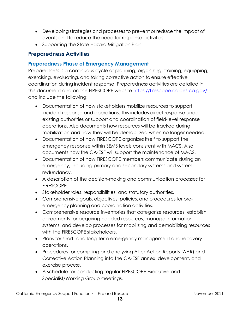- Developing strategies and processes to prevent or reduce the impact of events and to reduce the need for response activities.
- Supporting the State Hazard Mitigation Plan.

#### <span id="page-16-0"></span>**Preparedness Activities**

#### **Preparedness Phase of Emergency Management**

Preparedness is a continuous cycle of planning, organizing, training, equipping, exercising, evaluating, and taking corrective action to ensure effective coordination during incident response. Preparedness activities are detailed in this document and on the FIRESCOPE website<https://firescope.caloes.ca.gov/> and include the following:

- Documentation of how stakeholders mobilize resources to support incident response and operations. This includes direct response under existing authorities or support and coordination of field-level response operations. Also documents how resources will be tracked during mobilization and how they will be demobilized when no longer needed.
- Documentation of how FIRESCOPE organizes itself to support the emergency response within SEMS levels consistent with MACS. Also documents how the CA-ESF will support the maintenance of MACS.
- Documentation of how FIRESCOPE members communicate during an emergency, including primary and secondary systems and system redundancy.
- A description of the decision-making and communication processes for FIRESCOPE.
- Stakeholder roles, responsibilities, and statutory authorities.
- Comprehensive goals, objectives, policies, and procedures for preemergency planning and coordination activities.
- Comprehensive resource inventories that categorize resources, establish agreements for acquiring needed resources, manage information systems, and develop processes for mobilizing and demobilizing resources with the FIRESCOPE stakeholders.
- Plans for short- and long-term emergency management and recovery operations.
- Procedures for compiling and analyzing After Action Reports (AAR) and Corrective Action Planning into the CA-ESF annex, development, and exercise process.
- A schedule for conducting regular FIRESCOPE Executive and Specialist/Working Group meetings.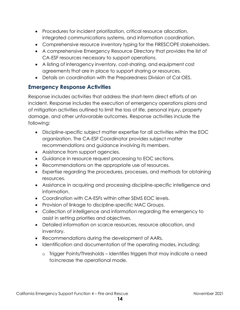- Procedures for incident prioritization, critical resource allocation, integrated communications systems, and information coordination.
- Comprehensive resource inventory typing for the FIRESCOPE stakeholders.
- A comprehensive Emergency Resource Directory that provides the list of CA-ESF resources necessary to support operations.
- A listing of interagency inventory, cost-sharing, and equipment cost agreements that are in place to support sharing or resources.
- Details on coordination with the Preparedness Division of Cal OES.

## <span id="page-17-0"></span>**Emergency Response Activities**

Response includes activities that address the short-term direct efforts of an incident. Response includes the execution of emergency operations plans and of mitigation activities outlined to limit the loss of life, personal injury, property damage, and other unfavorable outcomes. Response activities include the following:

- Discipline-specific subject matter expertise for all activities within the EOC organization. The CA-ESF Coordinator provides subject matter recommendations and guidance involving its members.
- Assistance from support agencies.
- Guidance in resource request processing to EOC sections.
- Recommendations on the appropriate use of resources.
- Expertise regarding the procedures, processes, and methods for obtaining resources.
- Assistance in acquiring and processing discipline-specific intelligence and information.
- Coordination with CA-ESFs within other SEMS EOC levels.
- Provision of linkage to discipline-specific MAC Groups.
- Collection of intelligence and information regarding the emergency to assist in setting priorities and objectives.
- Detailed information on scarce resources, resource allocation, and inventory.
- Recommendations during the development of AARs.
- Identification and documentation of the operating modes, including:
	- o Trigger Points/Thresholds Identifies triggers that may indicate a need toincrease the operational mode.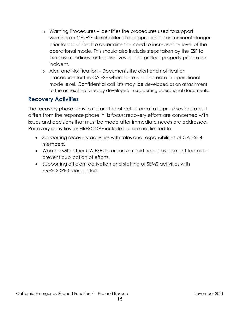- o Warning Procedures Identifies the procedures used to support warning an CA-ESF stakeholder of an approaching or imminent danger prior to an incident to determine the need to increase the level of the operational mode. This should also include steps taken by the ESF to increase readiness or to save lives and to protect property prior to an incident.
- o Alert and Notification Documents the alert and notification procedures for the CA-ESF when there is an increase in operational mode level. Confidential call lists may be developed as an attachment to the annex if not already developed in supporting operational documents.

#### **Recovery Activities**

<span id="page-18-0"></span>The recovery phase aims to restore the affected area to its pre-disaster state. It differs from the response phase in its focus; recovery efforts are concerned with issues and decisions that must be made after immediate needs are addressed. Recovery activities for FIRESCOPE include but are not limited to

- Supporting recovery activities with roles and responsibilities of CA-ESF 4 members.
- Working with other CA-ESFs to organize rapid needs assessment teams to prevent duplication of efforts.
- Supporting efficient activation and staffing of SEMS activities with FIRESCOPE Coordinators.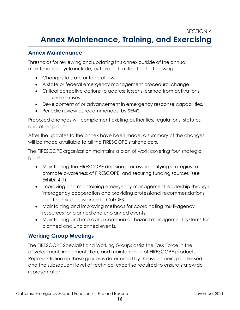## <span id="page-19-0"></span>SECTION 4 **Annex Maintenance, Training, and Exercising**

## <span id="page-19-1"></span>**Annex Maintenance**

Thresholds for reviewing and updating this annex outside of the annual maintenance cycle include, but are not limited to, the following:

- Changes to state or federal law.
- A state or federal emergency management procedural change.
- Critical corrective actions to address lessons learned from activations and/or exercises.
- Development of or advancement in emergency response capabilities.
- Periodic review as recommended by SEMS.

Proposed changes will complement existing authorities, regulations, statutes, and other plans.

After the updates to the annex have been made, a summary of the changes will be made available to all the FIRESCOPE stakeholders.

The FIRESCOPE organization maintains a plan of work covering four strategic goals

- Maintaining the FIRESCOPE decision process, identifying strategies to promote awareness of FIRESCOPE, and securing funding sources (see Exhibit 4-1).
- Improving and maintaining emergency management leadership through interagency cooperation and providing professional recommendations and technical assistance to Cal OES.
- Maintaining and improving methods for coordinating multi-agency resources for planned and unplanned events.
- Maintaining and improving common all-hazard management systems for planned and unplanned events.

## <span id="page-19-2"></span>**Working Group Meetings**

The FIRESCOPE Specialist and Working Groups assist the Task Force in the development, implementation, and maintenance of FIRESCOPE products. Representation on these groups is determined by the issues being addressed and the subsequent level of technical expertise required to ensure statewide representation.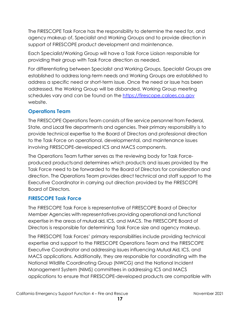The FIRESCOPE Task Force has the responsibility to determine the need for, and agency makeup of, Specialist and Working Groups and to provide direction in support of FIRESCOPE product development and maintenance.

Each Specialist/Working Group will have a Task Force Liaison responsible for providing their group with Task Force direction as needed.

For differentiating between Specialist and Working Groups, Specialist Groups are established to address long-term needs and Working Groups are established to address a specific need or short-term issue. Once the need or issue has been addressed, the Working Group will be disbanded. Working Group meeting schedules vary and can be found on the [https://firescope.caloes.ca.gov](https://firescope.caloes.ca.gov/) website.

#### **Operations Team**

The FIRESCOPE Operations Team consists of fire service personnel from Federal, State, and Local fire departments and agencies. Their primary responsibility is to provide technical expertise to the Board of Directors and professional direction to the Task Force on operational, developmental, and maintenance issues involving FIRESCOPE-developed ICS and MACS components.

The Operations Team further serves as the reviewing body for Task Forceproduced productsand determines which products and issues provided by the Task Force need to be forwarded to the Board of Directors for consideration and direction. The Operations Team provides direct technical and staff support to the Executive Coordinator in carrying out direction provided by the FIRESCOPE Board of Directors.

#### **FIRESCOPE Task Force**

The FIRESCOPE Task Force is representative of FIRESCOPE Board of Director Member Agencies with representatives providing operational and functional expertise in the areas of mutual aid, ICS, and MACS. The FIRESCOPE Board of Directors is responsible for determining Task Force size and agency makeup.

The FIRESCOPE Task Forces' primary responsibilities include providing technical expertise and support to the FIRESCOPE Operations Team and the FIRESCOPE Executive Coordinator and addressing issues influencing Mutual Aid, ICS, and MACS applications. Additionally, they are responsible for coordinating with the National Wildlife Coordinating Group (NWCG) and the National Incident Management System (NIMS) committees in addressing ICS and MACS applications to ensure that FIRESCOPE-developed products are compatible with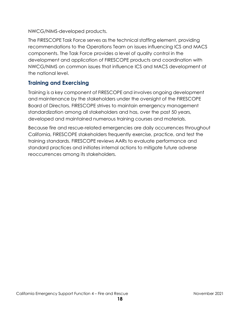NWCG/NIMS-developed products.

The FIRESCOPE Task Force serves as the technical staffing element, providing recommendations to the Operations Team on issues influencing ICS and MACS components. The Task Force provides a level of quality control in the development and application of FIRESCOPE products and coordination with NWCG/NIMS on common issues that influence ICS and MACS development at the national level.

## <span id="page-21-0"></span>**Training and Exercising**

Training is a key component of FIRESCOPE and involves ongoing development and maintenance by the stakeholders under the oversight of the FIRESCOPE Board of Directors. FIRESCOPE strives to maintain emergency management standardization among all stakeholders and has, over the past 50 years, developed and maintained numerous training courses and materials.

Because fire and rescue-related emergencies are daily occurrences throughout California, FIRESCOPE stakeholders frequently exercise, practice, and test the training standards. FIRESCOPE reviews AARs to evaluate performance and standard practices and initiates internal actions to mitigate future adverse reoccurrences among its stakeholders.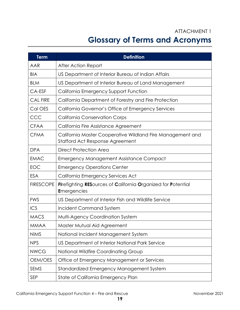## ATTACHMENT 1

## **Glossary of Terms and Acronyms**

<span id="page-22-0"></span>

| <b>Term</b>      | <b>Definition</b>                                                                             |  |
|------------------|-----------------------------------------------------------------------------------------------|--|
| AAR              | After Action Report                                                                           |  |
| <b>BIA</b>       | US Department of Interior Bureau of Indian Affairs                                            |  |
| <b>BLM</b>       | US Department of Interior Bureau of Land Management                                           |  |
| CA-ESF           | California Emergency Support Function                                                         |  |
| <b>CAL FIRE</b>  | California Department of Forestry and Fire Protection                                         |  |
| Cal OES          | California Governor's Office of Emergency Services                                            |  |
| CCC              | <b>California Conservation Corps</b>                                                          |  |
| <b>CFAA</b>      | California Fire Assistance Agreement                                                          |  |
| <b>CFMA</b>      | California Master Cooperative Wildland Fire Management and<br>Stafford Act Response Agreement |  |
| <b>DPA</b>       | <b>Direct Protection Area</b>                                                                 |  |
| <b>EMAC</b>      | <b>Emergency Management Assistance Compact</b>                                                |  |
| EOC              | <b>Emergency Operations Center</b>                                                            |  |
| <b>ESA</b>       | California Emergency Services Act                                                             |  |
| <b>FIRESCOPE</b> | Firefighting RESources of California Organized for Potential<br><b>E</b> mergencies           |  |
| <b>FWS</b>       | US Department of Interior Fish and Wildlife Service                                           |  |
| ICS              | Incident Command System                                                                       |  |
| <b>MACS</b>      | Multi-Agency Coordination System                                                              |  |
| <b>MMAA</b>      | Master Mutual Aid Agreement                                                                   |  |
| <b>NIMS</b>      | National Incident Management System                                                           |  |
| <b>NPS</b>       | US Department of Interior National Park Service                                               |  |
| <b>NWCG</b>      | National Wildfire Coordinating Group                                                          |  |
| OEM/OES          | Office of Emergency Management or Services                                                    |  |
| <b>SEMS</b>      | Standardized Emergency Management System                                                      |  |
| <b>SEP</b>       | State of California Emergency Plan                                                            |  |